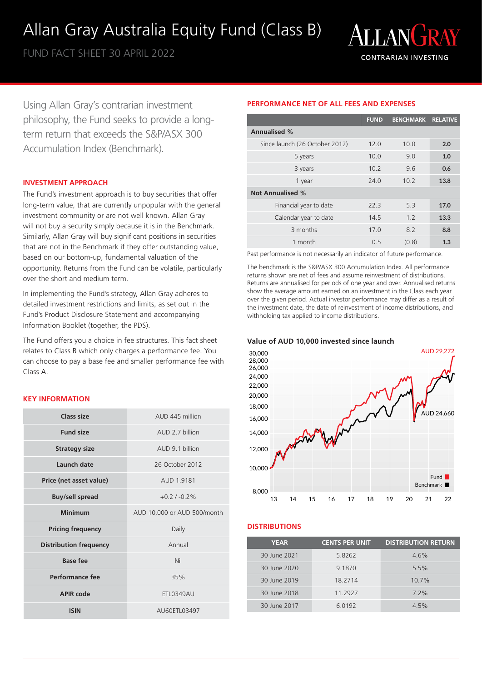## Allan Gray Australia Equity Fund (Class B)

FUND FACT SHEET 30 APRIL 2022



Using Allan Gray's contrarian investment philosophy, the Fund seeks to provide a longterm return that exceeds the S&P/ASX 300 Accumulation Index (Benchmark).

## **INVESTMENT APPROACH**

The Fund's investment approach is to buy securities that offer long-term value, that are currently unpopular with the general investment community or are not well known. Allan Gray will not buy a security simply because it is in the Benchmark. Similarly, Allan Gray will buy significant positions in securities that are not in the Benchmark if they offer outstanding value, based on our bottom-up, fundamental valuation of the opportunity. Returns from the Fund can be volatile, particularly over the short and medium term.

In implementing the Fund's strategy, Allan Gray adheres to detailed investment restrictions and limits, as set out in the Fund's Product Disclosure Statement and accompanying Information Booklet (together, the PDS).

The Fund offers you a choice in fee structures. This fact sheet relates to Class B which only charges a performance fee. You can choose to pay a base fee and smaller performance fee with Class A.

## **KEY INFORMATION**

| Class size                    | AUD 445 million             |
|-------------------------------|-----------------------------|
| <b>Fund size</b>              | AUD 2.7 billion             |
| <b>Strategy size</b>          | AUD 9.1 billion             |
| Launch date                   | 26 October 2012             |
| Price (net asset value)       | AUD 1.9181                  |
| <b>Buy/sell spread</b>        | $+0.21 - 0.2%$              |
| <b>Minimum</b>                | AUD 10,000 or AUD 500/month |
| <b>Pricing frequency</b>      | Daily                       |
| <b>Distribution frequency</b> | Annual                      |
| Base fee                      | Nil                         |
| <b>Performance fee</b>        | 35%                         |
| <b>APIR code</b>              | <b>ETL0349AU</b>            |
| <b>ISIN</b>                   | AU60ETL03497                |

## **PERFORMANCE NET OF ALL FEES AND EXPENSES**

|                                | <b>FUND</b> | <b>BENCHMARK RELATIVE</b> |      |
|--------------------------------|-------------|---------------------------|------|
| <b>Annualised %</b>            |             |                           |      |
| Since launch (26 October 2012) | 12.0        | 10.0                      | 2.0  |
| 5 years                        | 10.0        | 9.0                       | 1.0  |
| 3 years                        | 10.2        | 96                        | 0.6  |
| 1 year                         | 24.0        | 10.2                      | 13.8 |
| <b>Not Annualised %</b>        |             |                           |      |
| Financial year to date         | 223         | 53                        | 17.0 |
| Calendar year to date          | 14.5        | 1.2                       | 13.3 |
| 3 months                       | 17.0        | 8.2                       | 8.8  |
| 1 month                        | 0.5         | (0.8)                     | 1.3  |

Past performance is not necessarily an indicator of future performance.

The benchmark is the S&P/ASX 300 Accumulation Index. All performance returns shown are net of fees and assume reinvestment of distributions. Returns are annualised for periods of one year and over. Annualised returns show the average amount earned on an investment in the Class each year over the given period. Actual investor performance may differ as a result of the investment date, the date of reinvestment of income distributions, and withholding tax applied to income distributions.





## **DISTRIBUTIONS**

| <b>YEAR</b>  | <b>CENTS PER UNIT</b> | <b>DISTRIBUTION RETURN</b> |
|--------------|-----------------------|----------------------------|
| 30 June 2021 | 5.8262                | 4.6%                       |
| 30 June 2020 | 9.1870                | 5.5%                       |
| 30 June 2019 | 18.2714               | $10.7\%$                   |
| 30 June 2018 | 11.2927               | $7.2\%$                    |
| 30 June 2017 | 6.0192                | 4.5%                       |